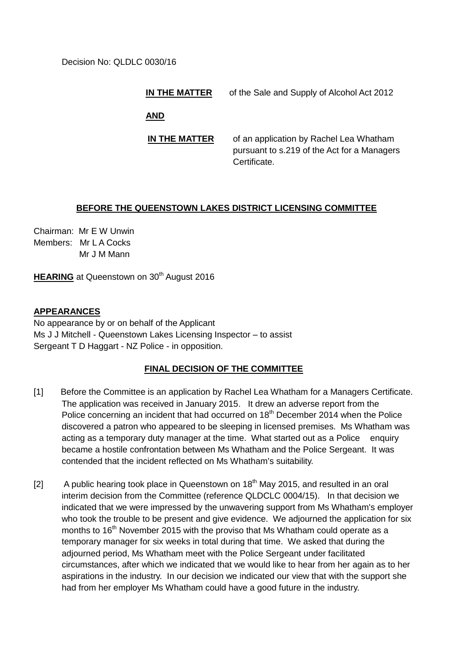Decision No: QLDLC 0030/16

**IN THE MATTER** of the Sale and Supply of Alcohol Act 2012

**AND**

**IN THE MATTER** of an application by Rachel Lea Whatham pursuant to s.219 of the Act for a Managers Certificate.

## **BEFORE THE QUEENSTOWN LAKES DISTRICT LICENSING COMMITTEE**

Chairman: Mr E W Unwin Members: Mr L A Cocks Mr J M Mann

**HEARING** at Queenstown on 30<sup>th</sup> August 2016

## **APPEARANCES**

No appearance by or on behalf of the Applicant Ms J J Mitchell - Queenstown Lakes Licensing Inspector – to assist Sergeant T D Haggart - NZ Police - in opposition.

## **FINAL DECISION OF THE COMMITTEE**

- [1] Before the Committee is an application by Rachel Lea Whatham for a Managers Certificate. The application was received in January 2015. It drew an adverse report from the Police concerning an incident that had occurred on 18<sup>th</sup> December 2014 when the Police discovered a patron who appeared to be sleeping in licensed premises. Ms Whatham was acting as a temporary duty manager at the time. What started out as a Police enquiry became a hostile confrontation between Ms Whatham and the Police Sergeant. It was contended that the incident reflected on Ms Whatham's suitability.
- [2] A public hearing took place in Queenstown on  $18<sup>th</sup>$  May 2015, and resulted in an oral interim decision from the Committee (reference QLDCLC 0004/15). In that decision we indicated that we were impressed by the unwavering support from Ms Whatham's employer who took the trouble to be present and give evidence. We adjourned the application for six months to  $16<sup>th</sup>$  November 2015 with the proviso that Ms Whatham could operate as a temporary manager for six weeks in total during that time. We asked that during the adjourned period, Ms Whatham meet with the Police Sergeant under facilitated circumstances, after which we indicated that we would like to hear from her again as to her aspirations in the industry. In our decision we indicated our view that with the support she had from her employer Ms Whatham could have a good future in the industry.